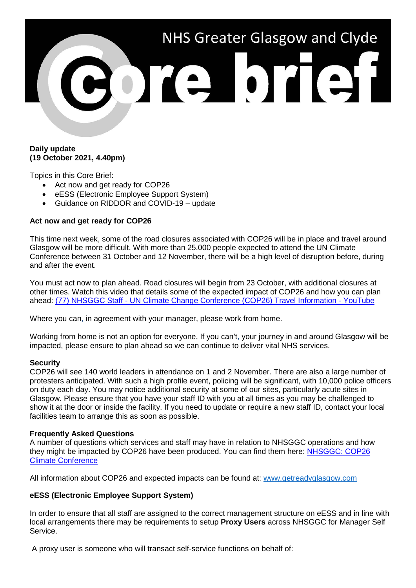

## **Daily update (19 October 2021, 4.40pm)**

Topics in this Core Brief:

- Act now and get ready for COP26
- eESS (Electronic Employee Support System)
- Guidance on RIDDOR and COVID-19 update

### **Act now and get ready for COP26**

This time next week, some of the road closures associated with COP26 will be in place and travel around Glasgow will be more difficult. With more than 25,000 people expected to attend the UN Climate Conference between 31 October and 12 November, there will be a high level of disruption before, during and after the event.

You must act now to plan ahead. Road closures will begin from 23 October, with additional closures at other times. Watch this video that details some of the expected impact of COP26 and how you can plan ahead: (77) NHSGGC Staff - [UN Climate Change Conference \(COP26\) Travel Information -](https://www.youtube.com/watch?v=XshPABt9qlE&t=4s) YouTube

Where you can, in agreement with your manager, please work from home.

Working from home is not an option for everyone. If you can't, your journey in and around Glasgow will be impacted, please ensure to plan ahead so we can continue to deliver vital NHS services.

#### **Security**

COP26 will see 140 world leaders in attendance on 1 and 2 November. There are also a large number of protesters anticipated. With such a high profile event, policing will be significant, with 10,000 police officers on duty each day. You may notice additional security at some of our sites, particularly acute sites in Glasgow. Please ensure that you have your staff ID with you at all times as you may be challenged to show it at the door or inside the facility. If you need to update or require a new staff ID, contact your local facilities team to arrange this as soon as possible.

#### **Frequently Asked Questions**

A number of questions which services and staff may have in relation to NHSGGC operations and how they might be impacted by COP26 have been produced. You can find them here: [NHSGGC: COP26](https://www.nhsggc.org.uk/about-us/cop26-conference/staff-information/)  [Climate Conference](https://www.nhsggc.org.uk/about-us/cop26-conference/staff-information/)

All information about COP26 and expected impacts can be found at: [www.getreadyglasgow.com](http://www.getreadyglasgow.com/)

#### **eESS (Electronic Employee Support System)**

In order to ensure that all staff are assigned to the correct management structure on eESS and in line with local arrangements there may be requirements to setup **Proxy Users** across NHSGGC for Manager Self Service.

A proxy user is someone who will transact self-service functions on behalf of: